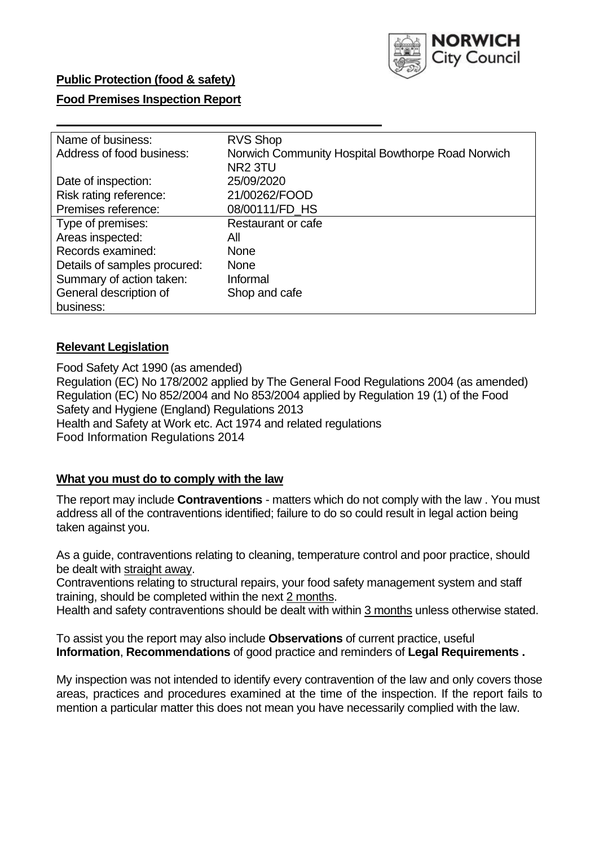

## **Public Protection (food & safety)**

#### **Food Premises Inspection Report**

| Name of business:            | <b>RVS Shop</b>                                   |
|------------------------------|---------------------------------------------------|
| Address of food business:    | Norwich Community Hospital Bowthorpe Road Norwich |
|                              | NR <sub>2</sub> 3TU                               |
| Date of inspection:          | 25/09/2020                                        |
| Risk rating reference:       | 21/00262/FOOD                                     |
| Premises reference:          | 08/00111/FD_HS                                    |
| Type of premises:            | Restaurant or cafe                                |
| Areas inspected:             | All                                               |
| Records examined:            | <b>None</b>                                       |
| Details of samples procured: | <b>None</b>                                       |
| Summary of action taken:     | Informal                                          |
| General description of       | Shop and cafe                                     |
| business:                    |                                                   |

## **Relevant Legislation**

Food Safety Act 1990 (as amended) Regulation (EC) No 178/2002 applied by The General Food Regulations 2004 (as amended) Regulation (EC) No 852/2004 and No 853/2004 applied by Regulation 19 (1) of the Food Safety and Hygiene (England) Regulations 2013 Health and Safety at Work etc. Act 1974 and related regulations Food Information Regulations 2014

## **What you must do to comply with the law**

The report may include **Contraventions** - matters which do not comply with the law . You must address all of the contraventions identified; failure to do so could result in legal action being taken against you.

As a guide, contraventions relating to cleaning, temperature control and poor practice, should be dealt with straight away.

Contraventions relating to structural repairs, your food safety management system and staff training, should be completed within the next 2 months.

Health and safety contraventions should be dealt with within 3 months unless otherwise stated.

To assist you the report may also include **Observations** of current practice, useful **Information**, **Recommendations** of good practice and reminders of **Legal Requirements .**

My inspection was not intended to identify every contravention of the law and only covers those areas, practices and procedures examined at the time of the inspection. If the report fails to mention a particular matter this does not mean you have necessarily complied with the law.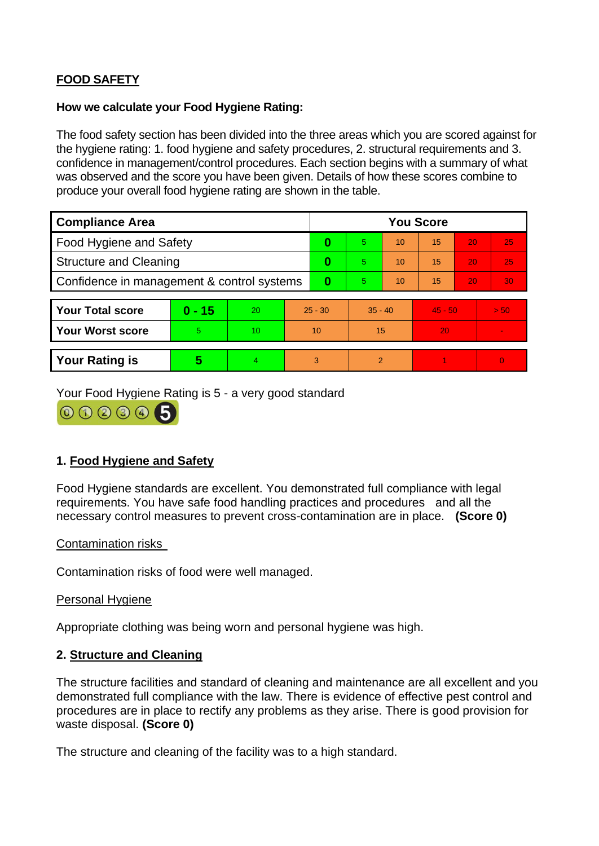# **FOOD SAFETY**

### **How we calculate your Food Hygiene Rating:**

The food safety section has been divided into the three areas which you are scored against for the hygiene rating: 1. food hygiene and safety procedures, 2. structural requirements and 3. confidence in management/control procedures. Each section begins with a summary of what was observed and the score you have been given. Details of how these scores combine to produce your overall food hygiene rating are shown in the table.

| <b>Compliance Area</b>                     |          |    |           | <b>You Score</b> |           |    |           |    |                |  |  |
|--------------------------------------------|----------|----|-----------|------------------|-----------|----|-----------|----|----------------|--|--|
| <b>Food Hygiene and Safety</b>             |          |    |           | 0                | 5.        | 10 | 15        | 20 | 25             |  |  |
| <b>Structure and Cleaning</b>              |          |    | 0         | 5                | 10        | 15 | 20        | 25 |                |  |  |
| Confidence in management & control systems |          |    | $\bf{0}$  | 5                | 10        | 15 | 20        | 30 |                |  |  |
|                                            |          |    |           |                  |           |    |           |    |                |  |  |
| <b>Your Total score</b>                    | $0 - 15$ | 20 | $25 - 30$ |                  | $35 - 40$ |    | $45 - 50$ |    | > 50           |  |  |
| Your Worst score                           | 5.       | 10 | 10        |                  | 15        |    | 20        |    | $\blacksquare$ |  |  |
|                                            |          |    |           |                  |           |    |           |    |                |  |  |
| <b>Your Rating is</b>                      | 5        | 4. | 3         |                  | 2         |    |           |    | $\overline{0}$ |  |  |

Your Food Hygiene Rating is 5 - a very good standard

000005

## **1. Food Hygiene and Safety**

Food Hygiene standards are excellent. You demonstrated full compliance with legal requirements. You have safe food handling practices and procedures and all the necessary control measures to prevent cross-contamination are in place. **(Score 0)**

## Contamination risks

Contamination risks of food were well managed.

#### Personal Hygiene

Appropriate clothing was being worn and personal hygiene was high.

## **2. Structure and Cleaning**

The structure facilities and standard of cleaning and maintenance are all excellent and you demonstrated full compliance with the law. There is evidence of effective pest control and procedures are in place to rectify any problems as they arise. There is good provision for waste disposal. **(Score 0)**

The structure and cleaning of the facility was to a high standard.